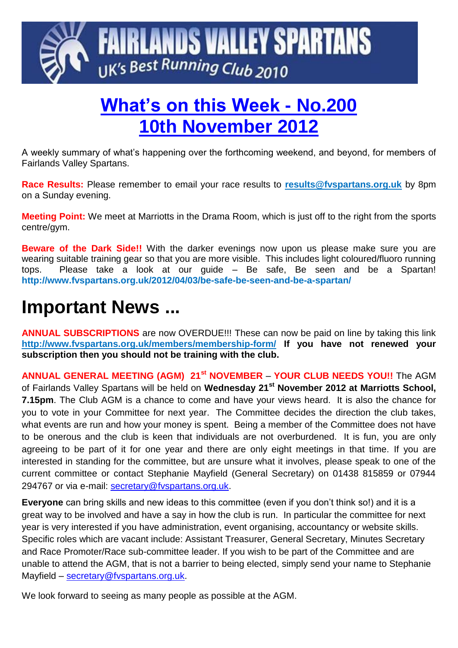

# **What's on this Week - No.200 10th November 2012**

A weekly summary of what's happening over the forthcoming weekend, and beyond, for members of Fairlands Valley Spartans.

**Race Results:** Please remember to email your race results to **[results@fvspartans.org.uk](mailto:results@fvspartans.org.uk)** by 8pm on a Sunday evening.

**Meeting Point:** We meet at Marriotts in the Drama Room, which is just off to the right from the sports centre/gym.

**Beware of the Dark Side!!** With the darker evenings now upon us please make sure you are wearing suitable training gear so that you are more visible. This includes light coloured/fluoro running tops. Please take a look at our guide – Be safe, Be seen and be a Spartan! **http://www.fvspartans.org.uk/2012/04/03/be-safe-be-seen-and-be-a-spartan/**

# **Important News ...**

**ANNUAL SUBSCRIPTIONS** are now OVERDUE!!! These can now be paid on line by taking this link **<http://www.fvspartans.org.uk/members/membership-form/> If you have not renewed your subscription then you should not be training with the club.**

**ANNUAL GENERAL MEETING (AGM) 21st NOVEMBER** – **YOUR CLUB NEEDS YOU!!** The AGM of Fairlands Valley Spartans will be held on **Wednesday 21st November 2012 at Marriotts School, 7.15pm**. The Club AGM is a chance to come and have your views heard. It is also the chance for you to vote in your Committee for next year. The Committee decides the direction the club takes, what events are run and how your money is spent. Being a member of the Committee does not have to be onerous and the club is keen that individuals are not overburdened. It is fun, you are only agreeing to be part of it for one year and there are only eight meetings in that time. If you are interested in standing for the committee, but are unsure what it involves, please speak to one of the current committee or contact Stephanie Mayfield (General Secretary) on 01438 815859 or 07944 294767 or via e-mail: [secretary@fvspartans.org.uk.](mailto:secretary@fvspartans.org.uk)

**Everyone** can bring skills and new ideas to this committee (even if you don't think so!) and it is a great way to be involved and have a say in how the club is run. In particular the committee for next year is very interested if you have administration, event organising, accountancy or website skills. Specific roles which are vacant include: Assistant Treasurer, General Secretary, Minutes Secretary and Race Promoter/Race sub-committee leader. If you wish to be part of the Committee and are unable to attend the AGM, that is not a barrier to being elected, simply send your name to Stephanie Mayfield – [secretary@fvspartans.org.uk.](mailto:secretary@fvspartans.org.uk)

We look forward to seeing as many people as possible at the AGM.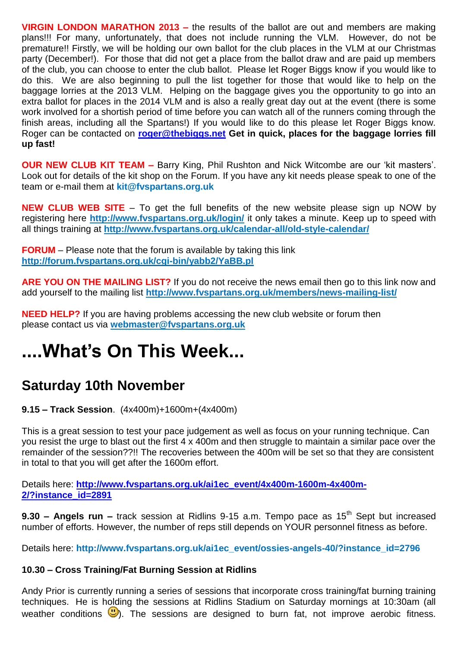**VIRGIN LONDON MARATHON 2013 –** the results of the ballot are out and members are making plans!!! For many, unfortunately, that does not include running the VLM. However, do not be premature!! Firstly, we will be holding our own ballot for the club places in the VLM at our Christmas party (December!). For those that did not get a place from the ballot draw and are paid up members of the club, you can choose to enter the club ballot. Please let Roger Biggs know if you would like to do this. We are also beginning to pull the list together for those that would like to help on the baggage lorries at the 2013 VLM. Helping on the baggage gives you the opportunity to go into an extra ballot for places in the 2014 VLM and is also a really great day out at the event (there is some work involved for a shortish period of time before you can watch all of the runners coming through the finish areas, including all the Spartans!) If you would like to do this please let Roger Biggs know. Roger can be contacted on **[roger@thebiggs.net](mailto:roger@thebiggs.net) Get in quick, places for the baggage lorries fill up fast!**

**OUR NEW CLUB KIT TEAM –** Barry King, Phil Rushton and Nick Witcombe are our 'kit masters'. Look out for details of the kit shop on the Forum. If you have any kit needs please speak to one of the team or e-mail them at **kit@fvspartans.org.uk** 

**NEW CLUB WEB SITE** – To get the full benefits of the new website please sign up NOW by registering here **<http://www.fvspartans.org.uk/login/>** it only takes a minute. Keep up to speed with all things training at **http://www.fvspartans.org.uk/calendar-all/old-style-calendar/**

**FORUM** – Please note that the forum is available by taking this link **<http://forum.fvspartans.org.uk/cgi-bin/yabb2/YaBB.pl>**

**ARE YOU ON THE MAILING LIST?** If you do not receive the news email then go to this link now and add yourself to the mailing list **<http://www.fvspartans.org.uk/members/news-mailing-list/>**

**NEED HELP?** If you are having problems accessing the new club website or forum then please contact us via **[webmaster@fvspartans.org.uk](mailto:webmaster@fvspartans.org.uk)**

# **....What's On This Week...**

### **Saturday 10th November**

**9.15 – Track Session**. (4x400m)+1600m+(4x400m)

This is a great session to test your pace judgement as well as focus on your running technique. Can you resist the urge to blast out the first 4 x 400m and then struggle to maintain a similar pace over the remainder of the session??!! The recoveries between the 400m will be set so that they are consistent in total to that you will get after the 1600m effort.

Details here: **[http://www.fvspartans.org.uk/ai1ec\\_event/4x400m-1600m-4x400m-](http://www.fvspartans.org.uk/ai1ec_event/4x400m-1600m-4x400m-2/?instance_id=2891)[2/?instance\\_id=2891](http://www.fvspartans.org.uk/ai1ec_event/4x400m-1600m-4x400m-2/?instance_id=2891)**

**9.30 – Angels run –** track session at Ridlins 9-15 a.m. Tempo pace as 15<sup>th</sup> Sept but increased number of efforts. However, the number of reps still depends on YOUR personnel fitness as before.

Details here: **http://www.fvspartans.org.uk/ai1ec\_event/ossies-angels-40/?instance\_id=2796**

#### **10.30 – Cross Training/Fat Burning Session at Ridlins**

Andy Prior is currently running a series of sessions that incorporate cross training/fat burning training techniques. He is holding the sessions at Ridlins Stadium on Saturday mornings at 10:30am (all weather conditions  $\bigcup$ ). The sessions are designed to burn fat, not improve aerobic fitness.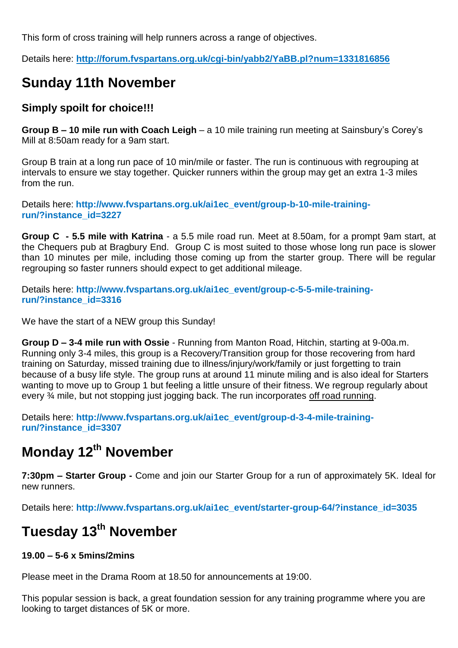This form of cross training will help runners across a range of objectives.

Details here: **<http://forum.fvspartans.org.uk/cgi-bin/yabb2/YaBB.pl?num=1331816856>**

### **Sunday 11th November**

#### **Simply spoilt for choice!!!**

**Group B – 10 mile run with Coach Leigh** – a 10 mile training run meeting at Sainsbury's Corey's Mill at 8:50am ready for a 9am start.

Group B train at a long run pace of 10 min/mile or faster. The run is continuous with regrouping at intervals to ensure we stay together. Quicker runners within the group may get an extra 1-3 miles from the run.

Details here: **http://www.fvspartans.org.uk/ai1ec\_event/group-b-10-mile-trainingrun/?instance\_id=3227**

**Group C - 5.5 mile with Katrina** - a 5.5 mile road run. Meet at 8.50am, for a prompt 9am start, at the Chequers pub at Bragbury End. Group C is most suited to those whose long run pace is slower than 10 minutes per mile, including those coming up from the starter group. There will be regular regrouping so faster runners should expect to get additional mileage.

Details here: **http://www.fvspartans.org.uk/ai1ec\_event/group-c-5-5-mile-trainingrun/?instance\_id=3316**

We have the start of a NEW group this Sunday!

**Group D – 3-4 mile run with Ossie** - Running from Manton Road, Hitchin, starting at 9-00a.m. Running only 3-4 miles, this group is a Recovery/Transition group for those recovering from hard training on Saturday, missed training due to illness/injury/work/family or just forgetting to train because of a busy life style. The group runs at around 11 minute miling and is also ideal for Starters wanting to move up to Group 1 but feeling a little unsure of their fitness. We regroup regularly about every ¾ mile, but not stopping just jogging back. The run incorporates off road running.

Details here: **http://www.fvspartans.org.uk/ai1ec\_event/group-d-3-4-mile-trainingrun/?instance\_id=3307**

## **Monday 12th November**

**7:30pm – Starter Group -** Come and join our Starter Group for a run of approximately 5K. Ideal for new runners.

Details here: **http://www.fvspartans.org.uk/ai1ec\_event/starter-group-64/?instance\_id=3035**

## **Tuesday 13th November**

#### **19.00 – 5-6 x 5mins/2mins**

Please meet in the Drama Room at 18.50 for announcements at 19:00.

This popular session is back, a great foundation session for any training programme where you are looking to target distances of 5K or more.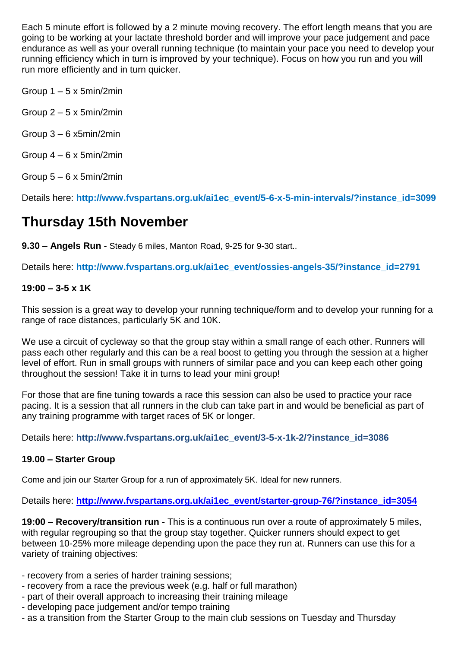Each 5 minute effort is followed by a 2 minute moving recovery. The effort length means that you are going to be working at your lactate threshold border and will improve your pace judgement and pace endurance as well as your overall running technique (to maintain your pace you need to develop your running efficiency which in turn is improved by your technique). Focus on how you run and you will run more efficiently and in turn quicker.

Group  $1 - 5 \times 5$ min/2min

Group 2 – 5 x 5min/2min

Group 3 – 6 x5min/2min

Group  $4 - 6 \times 5$ min/2min

Group  $5 - 6 \times 5$ min/2min

Details here: **http://www.fvspartans.org.uk/ai1ec\_event/5-6-x-5-min-intervals/?instance\_id=3099**

### **Thursday 15th November**

**9.30 – Angels Run -** Steady 6 miles, Manton Road, 9-25 for 9-30 start..

Details here: **http://www.fvspartans.org.uk/ai1ec\_event/ossies-angels-35/?instance\_id=2791**

#### **19:00 – 3-5 x 1K**

This session is a great way to develop your running technique/form and to develop your running for a range of race distances, particularly 5K and 10K.

We use a circuit of cycleway so that the group stay within a small range of each other. Runners will pass each other regularly and this can be a real boost to getting you through the session at a higher level of effort. Run in small groups with runners of similar pace and you can keep each other going throughout the session! Take it in turns to lead your mini group!

For those that are fine tuning towards a race this session can also be used to practice your race pacing. It is a session that all runners in the club can take part in and would be beneficial as part of any training programme with target races of 5K or longer.

Details here: **http://www.fvspartans.org.uk/ai1ec\_event/3-5-x-1k-2/?instance\_id=3086**

#### **19.00 – Starter Group**

Come and join our Starter Group for a run of approximately 5K. Ideal for new runners.

Details here: **[http://www.fvspartans.org.uk/ai1ec\\_event/starter-group-76/?instance\\_id=3054](http://www.fvspartans.org.uk/ai1ec_event/starter-group-76/?instance_id=3054)**

**19:00 – Recovery/transition run -** This is a continuous run over a route of approximately 5 miles, with regular regrouping so that the group stay together. Quicker runners should expect to get between 10-25% more mileage depending upon the pace they run at. Runners can use this for a variety of training objectives:

- recovery from a series of harder training sessions;
- recovery from a race the previous week (e.g. half or full marathon)
- part of their overall approach to increasing their training mileage
- developing pace judgement and/or tempo training
- as a transition from the Starter Group to the main club sessions on Tuesday and Thursday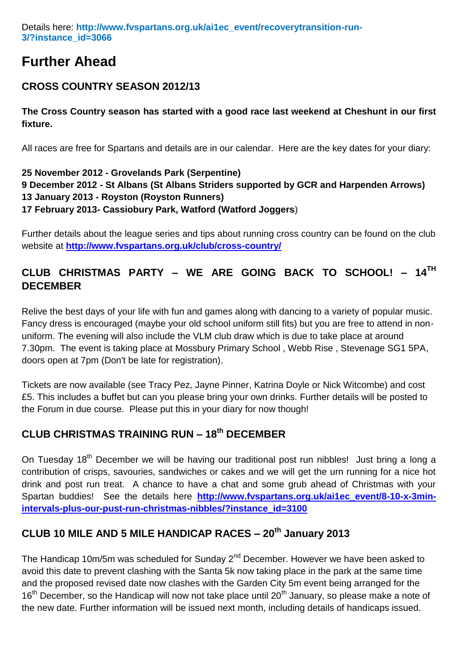#### Details here: **http://www.fvspartans.org.uk/ai1ec\_event/recoverytransition-run-3/?instance\_id=3066**

### **Further Ahead**

#### **CROSS COUNTRY SEASON 2012/13**

**The Cross Country season has started with a good race last weekend at Cheshunt in our first fixture.**

All races are free for Spartans and details are in our calendar. Here are the key dates for your diary:

#### **25 November 2012 - Grovelands Park (Serpentine) 9 December 2012 - St Albans (St Albans Striders supported by GCR and Harpenden Arrows) 13 January 2013 - Royston (Royston Runners) 17 February 2013- Cassiobury Park, Watford (Watford Joggers**)

Further details about the league series and tips about running cross country can be found on the club website at **<http://www.fvspartans.org.uk/club/cross-country/>**

#### **CLUB CHRISTMAS PARTY – WE ARE GOING BACK TO SCHOOL! – 14TH DECEMBER**

Relive the best days of your life with fun and games along with dancing to a variety of popular music. Fancy dress is encouraged (maybe your old school uniform still fits) but you are free to attend in nonuniform. The evening will also include the VLM club draw which is due to take place at around 7.30pm. The event is taking place at Mossbury Primary School , Webb Rise , Stevenage SG1 5PA, doors open at 7pm (Don't be late for registration).

Tickets are now available (see Tracy Pez, Jayne Pinner, Katrina Doyle or Nick Witcombe) and cost £5. This includes a buffet but can you please bring your own drinks. Further details will be posted to the Forum in due course. Please put this in your diary for now though!

#### **CLUB CHRISTMAS TRAINING RUN – 18th DECEMBER**

On Tuesdav 18<sup>th</sup> December we will be having our traditional post run nibbles! Just bring a long a contribution of crisps, savouries, sandwiches or cakes and we will get the urn running for a nice hot drink and post run treat. A chance to have a chat and some grub ahead of Christmas with your Spartan buddies! See the details here **[http://www.fvspartans.org.uk/ai1ec\\_event/8-10-x-3min](http://www.fvspartans.org.uk/ai1ec_event/8-10-x-3min-intervals-plus-our-pust-run-christmas-nibbles/?instance_id=3100)[intervals-plus-our-pust-run-christmas-nibbles/?instance\\_id=3100](http://www.fvspartans.org.uk/ai1ec_event/8-10-x-3min-intervals-plus-our-pust-run-christmas-nibbles/?instance_id=3100)**

### **CLUB 10 MILE AND 5 MILE HANDICAP RACES – 20th January 2013**

The Handicap 10m/5m was scheduled for Sunday 2<sup>nd</sup> December. However we have been asked to avoid this date to prevent clashing with the Santa 5k now taking place in the park at the same time and the proposed revised date now clashes with the Garden City 5m event being arranged for the 16<sup>th</sup> December, so the Handicap will now not take place until 20<sup>th</sup> January, so please make a note of the new date. Further information will be issued next month, including details of handicaps issued.